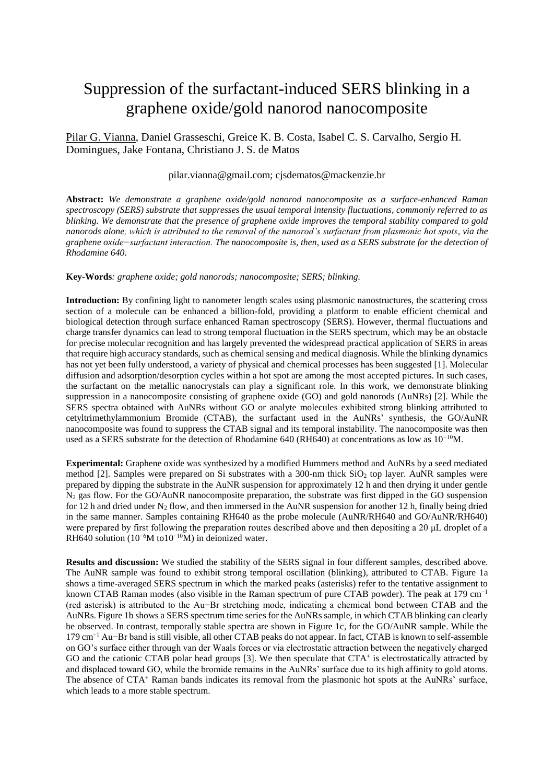## Suppression of the surfactant-induced SERS blinking in a graphene oxide/gold nanorod nanocomposite

Pilar G. Vianna, Daniel Grasseschi, Greice K. B. Costa, Isabel C. S. Carvalho, Sergio H. Domingues, Jake Fontana, Christiano J. S. de Matos

## pilar.vianna@gmail.com; cjsdematos@mackenzie.br

**Abstract:** *We demonstrate a graphene oxide/gold nanorod nanocomposite as a surface-enhanced Raman spectroscopy (SERS) substrate that suppresses the usual temporal intensity fluctuations, commonly referred to as blinking. We demonstrate that the presence of graphene oxide improves the temporal stability compared to gold nanorods alone, which is attributed to the removal of the nanorod's surfactant from plasmonic hot spots, via the graphene oxide−surfactant interaction. The nanocomposite is, then, used as a SERS substrate for the detection of Rhodamine 640.*

**Key-Words***: graphene oxide; gold nanorods; nanocomposite; SERS; blinking.*

**Introduction:** By confining light to nanometer length scales using plasmonic nanostructures, the scattering cross section of a molecule can be enhanced a billion-fold, providing a platform to enable efficient chemical and biological detection through surface enhanced Raman spectroscopy (SERS). However, thermal fluctuations and charge transfer dynamics can lead to strong temporal fluctuation in the SERS spectrum, which may be an obstacle for precise molecular recognition and has largely prevented the widespread practical application of SERS in areas that require high accuracy standards, such as chemical sensing and medical diagnosis. While the blinking dynamics has not yet been fully understood, a variety of physical and chemical processes has been suggested [1]. Molecular diffusion and adsorption/desorption cycles within a hot spot are among the most accepted pictures. In such cases, the surfactant on the metallic nanocrystals can play a significant role. In this work, we demonstrate blinking suppression in a nanocomposite consisting of graphene oxide (GO) and gold nanorods (AuNRs) [2]. While the SERS spectra obtained with AuNRs without GO or analyte molecules exhibited strong blinking attributed to cetyltrimethylammonium Bromide (CTAB), the surfactant used in the AuNRs' synthesis, the GO/AuNR nanocomposite was found to suppress the CTAB signal and its temporal instability. The nanocomposite was then used as a SERS substrate for the detection of Rhodamine 640 (RH640) at concentrations as low as  $10^{-10}$ M.

**Experimental:** Graphene oxide was synthesized by a modified Hummers method and AuNRs by a seed mediated method [2]. Samples were prepared on Si substrates with a 300-nm thick SiO<sup>2</sup> top layer. AuNR samples were prepared by dipping the substrate in the AuNR suspension for approximately 12 h and then drying it under gentle N<sup>2</sup> gas flow. For the GO/AuNR nanocomposite preparation, the substrate was first dipped in the GO suspension for 12 h and dried under  $N_2$  flow, and then immersed in the AuNR suspension for another 12 h, finally being dried in the same manner. Samples containing RH640 as the probe molecule (AuNR/RH640 and GO/AuNR/RH640) were prepared by first following the preparation routes described above and then depositing a 20 μL droplet of a RH640 solution (10<sup>-6</sup>M to10<sup>-10</sup>M) in deionized water.

**Results and discussion:** We studied the stability of the SERS signal in four different samples, described above. The AuNR sample was found to exhibit strong temporal oscillation (blinking), attributed to CTAB. Figure 1a shows a time-averaged SERS spectrum in which the marked peaks (asterisks) refer to the tentative assignment to known CTAB Raman modes (also visible in the Raman spectrum of pure CTAB powder). The peak at 179 cm−1 (red asterisk) is attributed to the Au−Br stretching mode, indicating a chemical bond between CTAB and the AuNRs. Figure 1b shows a SERS spectrum time series for the AuNRs sample, in which CTAB blinking can clearly be observed. In contrast, temporally stable spectra are shown in Figure 1c, for the GO/AuNR sample. While the 179 cm−1 Au−Br band is still visible, all other CTAB peaks do not appear. In fact, CTAB is known to self-assemble on GO's surface either through van der Waals forces or via electrostatic attraction between the negatively charged GO and the cationic CTAB polar head groups [3]. We then speculate that CTA<sup>+</sup> is electrostatically attracted by and displaced toward GO, while the bromide remains in the AuNRs' surface due to its high affinity to gold atoms. The absence of CTA<sup>+</sup> Raman bands indicates its removal from the plasmonic hot spots at the AuNRs' surface, which leads to a more stable spectrum.